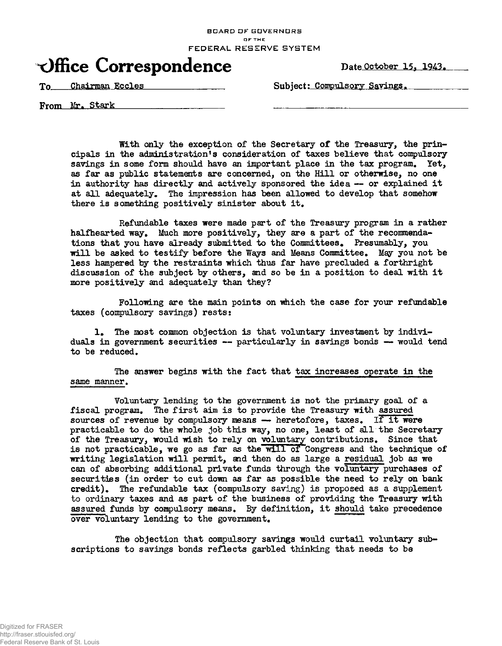BOARD OF GOVERNORS OF THE FEDERAL RESERVE SYSTEM

## Office Correspondence Date October 15, 1943.

To Chairman Eccles Subject: Compulsory Savings.

From Mr. Stark

With only the exception of the Secretary of the Treasury, the principals in the administration's consideration of taxes believe that compulsory savings in some form should have an important place in the tax program. Yet, as far as public statements are concerned, on the Hill or otherwise, no one in authority has directly and actively sponsored the idea — or explained it at all adequately. The impression has been allowed to develop that somehow there is something positively sinister about it.

Refundable taxes were made part of the Treasury program in a rather halfhearted way. Much more positively, they are a part of the recommendations that you have already submitted to the Committees. Presumably, you will be asked to testify before the Ways and Means Committee. May you not be less hampered by the restraints which thus far have precluded a forthright discussion of the subject by others, and so be in a position to deal with it more positively and adequately than they?

Following are the main points on which the case for your refundable taxes (compulsory savings) rests:

1. The most common objection is that voluntary investment by individuals in government securities — particularly in savings bonds — would tend to be reduced.

The answer begins with the fact that tax increases operate in the same manner.

Voluntary lending to the government is not the primary goal of a fiscal program. The first aim is to provide the Treasury with assured sources of revenue by compulsory means  $-$  heretofore, taxes. If it were practicable to do the whole job this way, no one, least of all the Secretary of the Treasury, would wish to rely on voluntary contributions. Since that is not practicable, we go as far as the will of Congress and the technique of writing legislation will permit, and then do as large a residual job as we can of absorbing additional private funds through the voluntary purchases of securities (in order to cut down as far as possible the need to rely on bank credit). The refundable tax (compulsory saving) is proposed as a supplement to ordinary taxes and as part of the business of providing the Treasury with assured funds by compulsory means. By definition, it should take precedence over voluntary lending to the government.

The objection that compulsory savings would curtail voluntary subscriptions to savings bonds reflects garbled thinking that needs to be